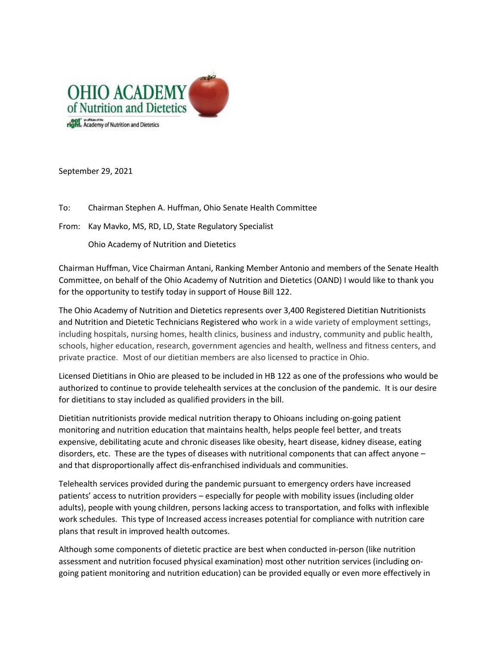

September 29, 2021

To: Chairman Stephen A. Huffman, Ohio Senate Health Committee

From: Kay Mavko, MS, RD, LD, State Regulatory Specialist

Ohio Academy of Nutrition and Dietetics

Chairman Huffman, Vice Chairman Antani, Ranking Member Antonio and members of the Senate Health Committee, on behalf of the Ohio Academy of Nutrition and Dietetics (OAND) I would like to thank you for the opportunity to testify today in support of House Bill 122.

The Ohio Academy of Nutrition and Dietetics represents over 3,400 Registered Dietitian Nutritionists and Nutrition and Dietetic Technicians Registered who work in a wide variety of employment settings, including hospitals, nursing homes, health clinics, business and industry, community and public health, schools, higher education, research, government agencies and health, wellness and fitness centers, and private practice. Most of our dietitian members are also licensed to practice in Ohio.

Licensed Dietitians in Ohio are pleased to be included in HB 122 as one of the professions who would be authorized to continue to provide telehealth services at the conclusion of the pandemic. It is our desire for dietitians to stay included as qualified providers in the bill.

Dietitian nutritionists provide medical nutrition therapy to Ohioans including on-going patient monitoring and nutrition education that maintains health, helps people feel better, and treats expensive, debilitating acute and chronic diseases like obesity, heart disease, kidney disease, eating disorders, etc. These are the types of diseases with nutritional components that can affect anyone – and that disproportionally affect dis-enfranchised individuals and communities.

Telehealth services provided during the pandemic pursuant to emergency orders have increased patients' access to nutrition providers – especially for people with mobility issues (including older adults), people with young children, persons lacking access to transportation, and folks with inflexible work schedules. This type of Increased access increases potential for compliance with nutrition care plans that result in improved health outcomes.

Although some components of dietetic practice are best when conducted in-person (like nutrition assessment and nutrition focused physical examination) most other nutrition services (including ongoing patient monitoring and nutrition education) can be provided equally or even more effectively in